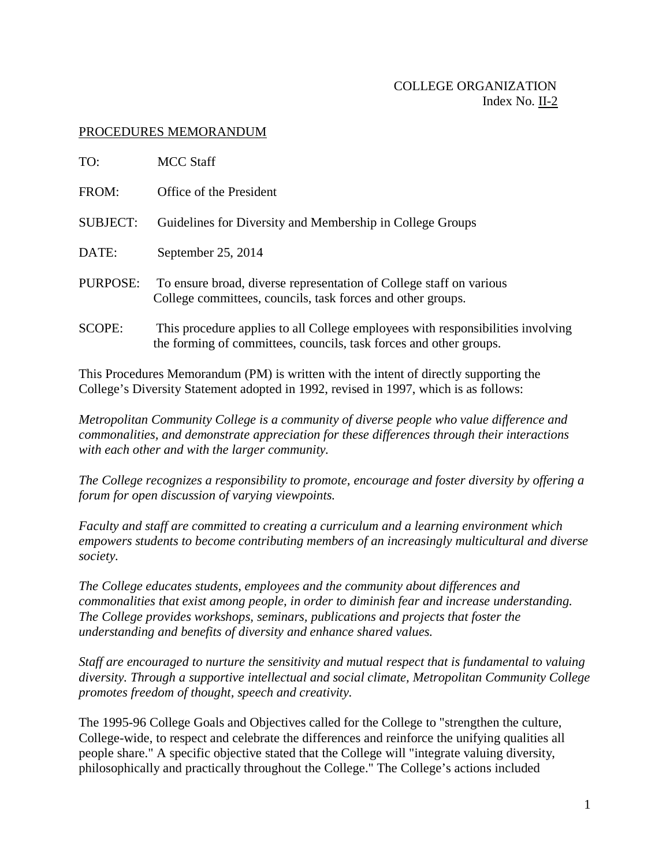## COLLEGE ORGANIZATION Index No. II-2

## PROCEDURES MEMORANDUM

| TO:             | MCC Staff                                                                                                                                             |
|-----------------|-------------------------------------------------------------------------------------------------------------------------------------------------------|
| FROM:           | Office of the President                                                                                                                               |
| <b>SUBJECT:</b> | Guidelines for Diversity and Membership in College Groups                                                                                             |
| DATE:           | September 25, 2014                                                                                                                                    |
| PURPOSE:        | To ensure broad, diverse representation of College staff on various<br>College committees, councils, task forces and other groups.                    |
| <b>SCOPE:</b>   | This procedure applies to all College employees with responsibilities involving<br>the forming of committees, councils, task forces and other groups. |

This Procedures Memorandum (PM) is written with the intent of directly supporting the College's Diversity Statement adopted in 1992, revised in 1997, which is as follows:

*Metropolitan Community College is a community of diverse people who value difference and commonalities, and demonstrate appreciation for these differences through their interactions with each other and with the larger community.*

*The College recognizes a responsibility to promote, encourage and foster diversity by offering a forum for open discussion of varying viewpoints.*

*Faculty and staff are committed to creating a curriculum and a learning environment which empowers students to become contributing members of an increasingly multicultural and diverse society.*

*The College educates students, employees and the community about differences and commonalities that exist among people, in order to diminish fear and increase understanding. The College provides workshops, seminars, publications and projects that foster the understanding and benefits of diversity and enhance shared values.*

*Staff are encouraged to nurture the sensitivity and mutual respect that is fundamental to valuing diversity. Through a supportive intellectual and social climate, Metropolitan Community College promotes freedom of thought, speech and creativity.*

The 1995-96 College Goals and Objectives called for the College to "strengthen the culture, College-wide, to respect and celebrate the differences and reinforce the unifying qualities all people share." A specific objective stated that the College will "integrate valuing diversity, philosophically and practically throughout the College." The College's actions included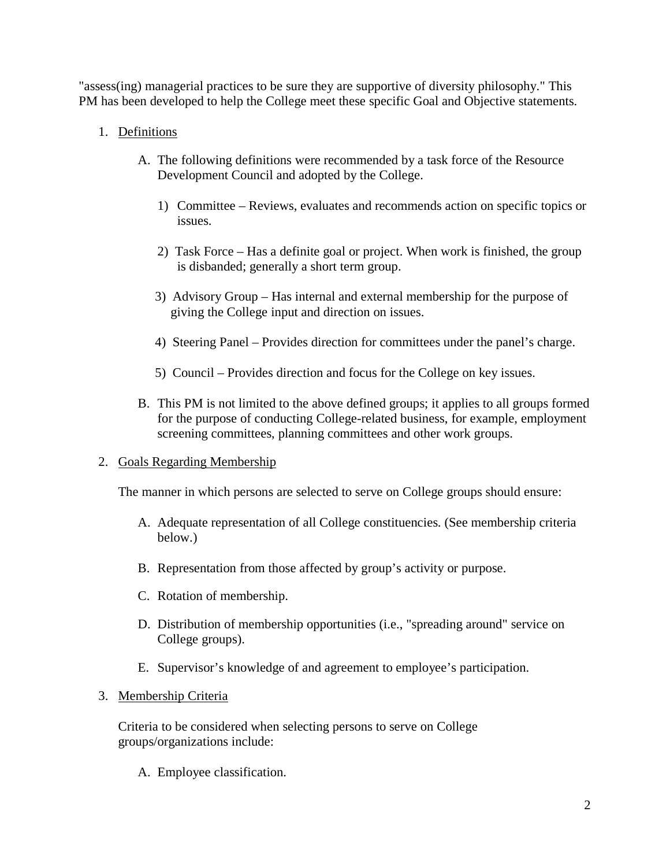"assess(ing) managerial practices to be sure they are supportive of diversity philosophy." This PM has been developed to help the College meet these specific Goal and Objective statements.

# 1. Definitions

- A. The following definitions were recommended by a task force of the Resource Development Council and adopted by the College.
	- 1) Committee Reviews, evaluates and recommends action on specific topics or issues.
	- 2) Task Force Has a definite goal or project. When work is finished, the group is disbanded; generally a short term group.
	- 3) Advisory Group Has internal and external membership for the purpose of giving the College input and direction on issues.
	- 4) Steering Panel Provides direction for committees under the panel's charge.
	- 5) Council Provides direction and focus for the College on key issues.
- B. This PM is not limited to the above defined groups; it applies to all groups formed for the purpose of conducting College-related business, for example, employment screening committees, planning committees and other work groups.

# 2. Goals Regarding Membership

The manner in which persons are selected to serve on College groups should ensure:

- A. Adequate representation of all College constituencies. (See membership criteria below.)
- B. Representation from those affected by group's activity or purpose.
- C. Rotation of membership.
- D. Distribution of membership opportunities (i.e., "spreading around" service on College groups).
- E. Supervisor's knowledge of and agreement to employee's participation.
- 3. Membership Criteria

Criteria to be considered when selecting persons to serve on College groups/organizations include:

A. Employee classification.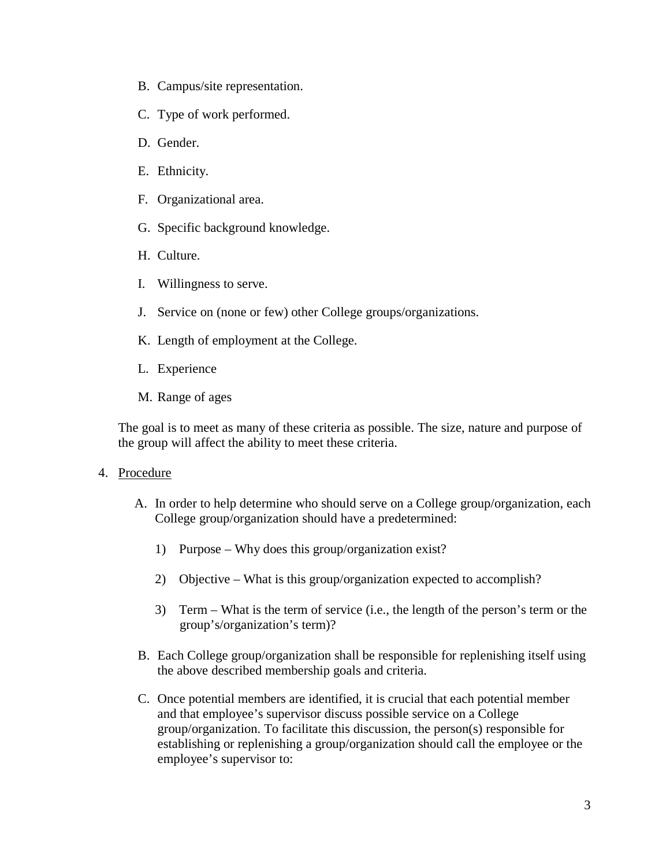- B. Campus/site representation.
- C. Type of work performed.
- D. Gender.
- E. Ethnicity.
- F. Organizational area.
- G. Specific background knowledge.
- H. Culture.
- I. Willingness to serve.
- J. Service on (none or few) other College groups/organizations.
- K. Length of employment at the College.
- L. Experience
- M. Range of ages

The goal is to meet as many of these criteria as possible. The size, nature and purpose of the group will affect the ability to meet these criteria.

#### 4. Procedure

- A. In order to help determine who should serve on a College group/organization, each College group/organization should have a predetermined:
	- 1) Purpose Why does this group/organization exist?
	- 2) Objective What is this group/organization expected to accomplish?
	- 3) Term What is the term of service (i.e., the length of the person's term or the group's/organization's term)?
- B. Each College group/organization shall be responsible for replenishing itself using the above described membership goals and criteria.
- C. Once potential members are identified, it is crucial that each potential member and that employee's supervisor discuss possible service on a College group/organization. To facilitate this discussion, the person(s) responsible for establishing or replenishing a group/organization should call the employee or the employee's supervisor to: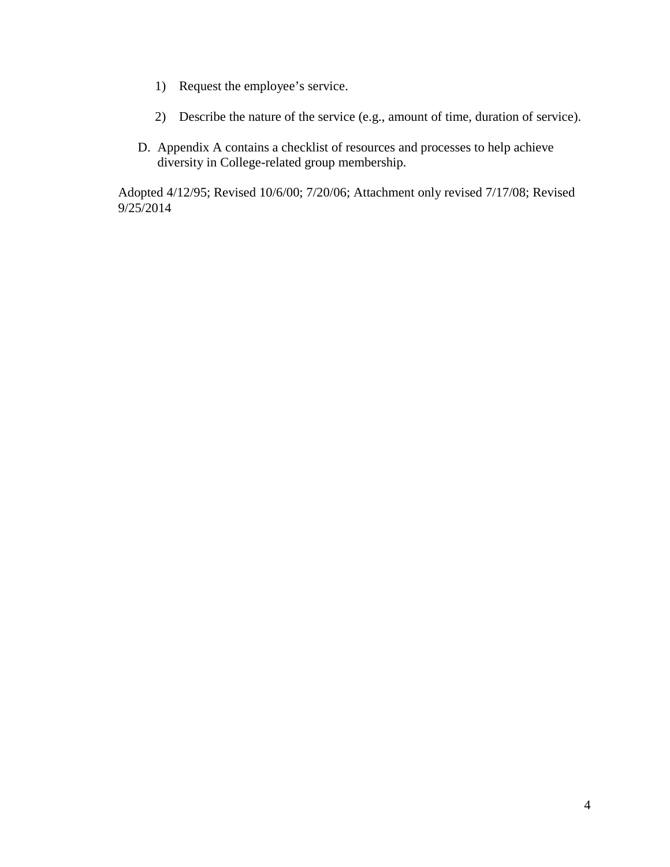- 1) Request the employee's service.
- 2) Describe the nature of the service (e.g., amount of time, duration of service).
- D. Appendix A contains a checklist of resources and processes to help achieve diversity in College-related group membership.

Adopted 4/12/95; Revised 10/6/00; 7/20/06; Attachment only revised 7/17/08; Revised 9/25/2014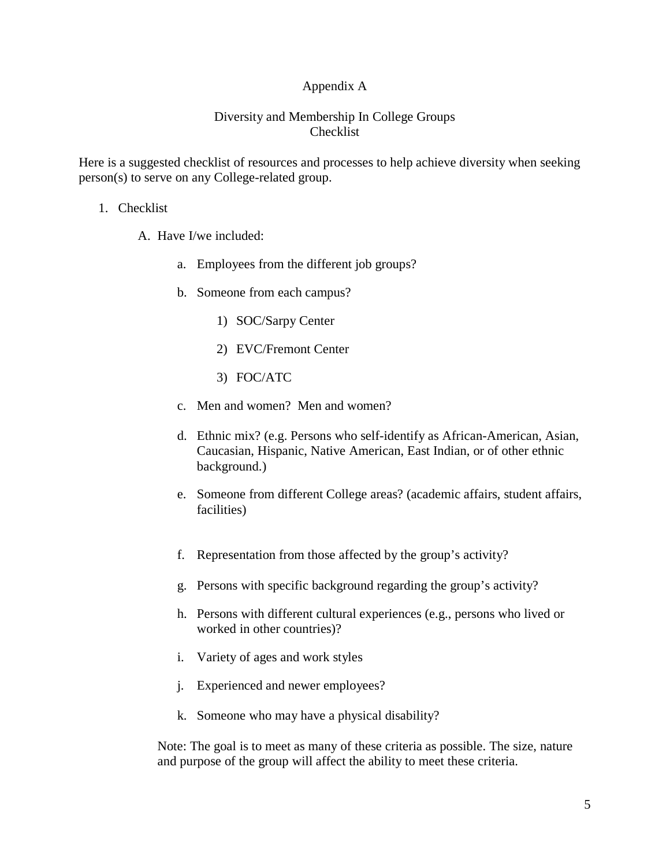# Appendix A

## Diversity and Membership In College Groups Checklist

Here is a suggested checklist of resources and processes to help achieve diversity when seeking person(s) to serve on any College-related group.

#### 1. Checklist

- A. Have I/we included:
	- a. Employees from the different job groups?
	- b. Someone from each campus?
		- 1) SOC/Sarpy Center
		- 2) EVC/Fremont Center
		- 3) FOC/ATC
	- c. Men and women? Men and women?
	- d. Ethnic mix? (e.g. Persons who self-identify as African-American, Asian, Caucasian, Hispanic, Native American, East Indian, or of other ethnic background.)
	- e. Someone from different College areas? (academic affairs, student affairs, facilities)
	- f. Representation from those affected by the group's activity?
	- g. Persons with specific background regarding the group's activity?
	- h. Persons with different cultural experiences (e.g., persons who lived or worked in other countries)?
	- i. Variety of ages and work styles
	- j. Experienced and newer employees?
	- k. Someone who may have a physical disability?

Note: The goal is to meet as many of these criteria as possible. The size, nature and purpose of the group will affect the ability to meet these criteria.